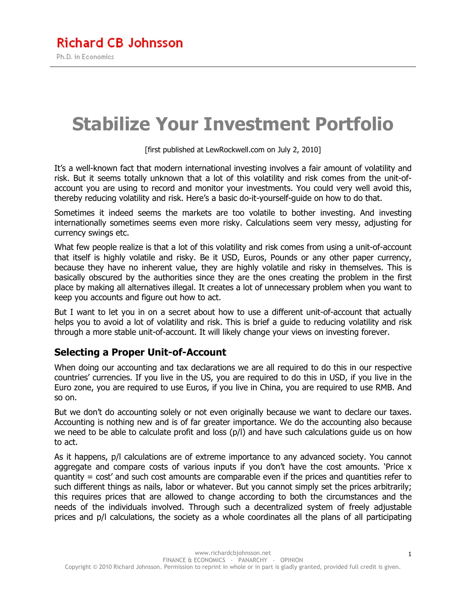# **Stabilize Your Investment Portfolio**

[first published at LewRockwell.com on July 2, 2010]

It's a well-known fact that modern international investing involves a fair amount of volatility and risk. But it seems totally unknown that a lot of this volatility and risk comes from the unit-ofaccount you are using to record and monitor your investments. You could very well avoid this, thereby reducing volatility and risk. Here's a basic do-it-yourself-guide on how to do that.

Sometimes it indeed seems the markets are too volatile to bother investing. And investing internationally sometimes seems even more risky. Calculations seem very messy, adjusting for currency swings etc.

What few people realize is that a lot of this volatility and risk comes from using a unit-of-account that itself is highly volatile and risky. Be it USD, Euros, Pounds or any other paper currency, because they have no inherent value, they are highly volatile and risky in themselves. This is basically obscured by the authorities since they are the ones creating the problem in the first place by making all alternatives illegal. It creates a lot of unnecessary problem when you want to keep you accounts and figure out how to act.

But I want to let you in on a secret about how to use a different unit-of-account that actually helps you to avoid a lot of volatility and risk. This is brief a guide to reducing volatility and risk through a more stable unit-of-account. It will likely change your views on investing forever.

### **Selecting a Proper Unit-of-Account**

When doing our accounting and tax declarations we are all required to do this in our respective countries' currencies. If you live in the US, you are required to do this in USD, if you live in the Euro zone, you are required to use Euros, if you live in China, you are required to use RMB. And so on.

But we don't do accounting solely or not even originally because we want to declare our taxes. Accounting is nothing new and is of far greater importance. We do the accounting also because we need to be able to calculate profit and loss (p/l) and have such calculations guide us on how to act.

As it happens, p/l calculations are of extreme importance to any advanced society. You cannot aggregate and compare costs of various inputs if you don't have the cost amounts. 'Price  $x$ quantity = cost' and such cost amounts are comparable even if the prices and quantities refer to such different things as nails, labor or whatever. But you cannot simply set the prices arbitrarily; this requires prices that are allowed to change according to both the circumstances and the needs of the individuals involved. Through such a decentralized system of freely adjustable prices and p/l calculations, the society as a whole coordinates all the plans of all participating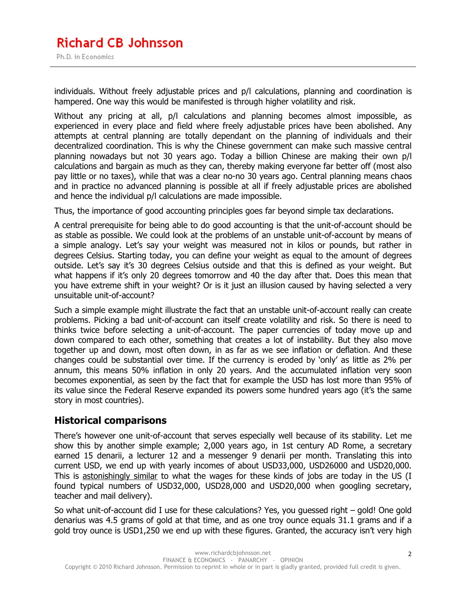## **Richard CB Johnsson**

Ph.D. in Economics

individuals. Without freely adjustable prices and p/l calculations, planning and coordination is hampered. One way this would be manifested is through higher volatility and risk.

Without any pricing at all, p/l calculations and planning becomes almost impossible, as experienced in every place and field where freely adjustable prices have been abolished. Any attempts at central planning are totally dependant on the planning of individuals and their decentralized coordination. This is why the Chinese government can make such massive central planning nowadays but not 30 years ago. Today a billion Chinese are making their own p/l calculations and bargain as much as they can, thereby making everyone far better off (most also pay little or no taxes), while that was a clear no-no 30 years ago. Central planning means chaos and in practice no advanced planning is possible at all if freely adjustable prices are abolished and hence the individual p/l calculations are made impossible.

Thus, the importance of good accounting principles goes far beyond simple tax declarations.

A central prerequisite for being able to do good accounting is that the unit-of-account should be as stable as possible. We could look at the problems of an unstable unit-of-account by means of a simple analogy. Let's say your weight was measured not in kilos or pounds, but rather in degrees Celsius. Starting today, you can define your weight as equal to the amount of degrees outside. Let's say it's 30 degrees Celsius outside and that this is defined as your weight. But what happens if it's only 20 degrees tomorrow and 40 the day after that. Does this mean that you have extreme shift in your weight? Or is it just an illusion caused by having selected a very unsuitable unit-of-account?

Such a simple example might illustrate the fact that an unstable unit-of-account really can create problems. Picking a bad unit-of-account can itself create volatility and risk. So there is need to thinks twice before selecting a unit-of-account. The paper currencies of today move up and down compared to each other, something that creates a lot of instability. But they also move together up and down, most often down, in as far as we see inflation or deflation. And these changes could be substantial over time. If the currency is eroded by 'only' as little as 2% per annum, this means 50% inflation in only 20 years. And the accumulated inflation very soon becomes exponential, as seen by the fact that for example the USD has lost more than 95% of its value since the Federal Reserve expanded its powers some hundred years ago (it's the same story in most countries).

#### **Historical comparisons**

There's however one unit-of-account that serves especially well because of its stability. Let me show this by another simple example; 2,000 years ago, in 1st century AD Rome, a secretary earned 15 denarii, a lecturer 12 and a messenger 9 denarii per month. Translating this into current USD, we end up with yearly incomes of about USD33,000, USD26000 and USD20,000. This is astonishingly similar to what the wages for these kinds of jobs are today in the US (I found typical numbers of USD32,000, USD28,000 and USD20,000 when googling secretary, teacher and mail delivery).

So what unit-of-account did I use for these calculations? Yes, you guessed right – gold! One gold denarius was 4.5 grams of gold at that time, and as one troy ounce equals 31.1 grams and if a gold troy ounce is USD1,250 we end up with these figures. Granted, the accuracy isn't very high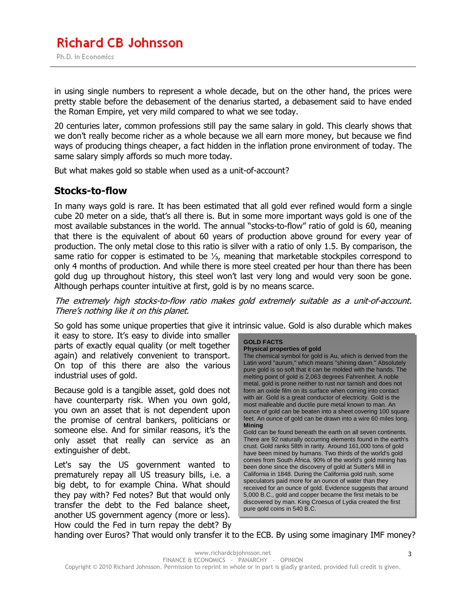in using single numbers to represent a whole decade, but on the other hand, the prices were pretty stable before the debasement of the denarius started, a debasement said to have ended the Roman Empire, yet very mild compared to what we see today.

20 centuries later, common professions still pay the same salary in gold. This clearly shows that we don't really become richer as a whole because we all earn more money, but because we find ways of producing things cheaper, a fact hidden in the inflation prone environment of today. The same salary simply affords so much more today.

But what makes gold so stable when used as a unit-of-account?

#### **Stocks-to-flow**

In many ways gold is rare. It has been estimated that all gold ever refined would form a single cube 20 meter on a side, that's all there is. But in some more important ways gold is one of the most available substances in the world. The annual "stocks-to-flow" ratio of gold is 60, meaning that there is the equivalent of about 60 years of production above ground for every year of production. The only metal close to this ratio is silver with a ratio of only 1.5. By comparison, the same ratio for copper is estimated to be ⅓, meaning that marketable stockpiles correspond to only 4 months of production. And while there is more steel created per hour than there has been gold dug up throughout history, this steel won't last very long and would very soon be gone. Although perhaps counter intuitive at first, gold is by no means scarce.

The extremely high stocks-to-flow ratio makes gold extremely suitable as a unit-of-account. There's nothing like it on this planet.

So gold has some unique properties that give it intrinsic value. Gold is also durable which makes

it easy to store. It's easy to divide into smaller parts of exactly equal quality (or melt together again) and relatively convenient to transport. On top of this there are also the various industrial uses of gold.

Because gold is a tangible asset, gold does not have counterparty risk. When you own gold, you own an asset that is not dependent upon the promise of central bankers, politicians or someone else. And for similar reasons, it's the only asset that really can service as an extinguisher of debt.

Let's say the US government wanted to prematurely repay all US treasury bills, i.e. a big debt, to for example China. What should they pay with? Fed notes? But that would only transfer the debt to the Fed balance sheet, another US government agency (more or less). How could the Fed in turn repay the debt? By

#### **GOLD FACTS**

**Physical properties of gold**  The chemical symbol for gold is Au, which is derived from the Latin word "aurum," which means "shining dawn." Absolutely pure gold is so soft that it can be molded with the hands. The melting point of gold is 2,063 degrees Fahrenheit. A noble metal, gold is prone neither to rust nor tarnish and does not form an oxide film on its surface when coming into contact with air. Gold is a great conductor of electricity. Gold is the most malleable and ductile pure metal known to man. An ounce of gold can be beaten into a sheet covering 100 square feet. An ounce of gold can be drawn into a wire 60 miles long. **Mining**

Gold can be found beneath the earth on all seven continents. There are 92 naturally occurring elements found in the earth's crust. Gold ranks 58th in rarity. Around 161,000 tons of gold have been mined by humans. Two thirds of the world's gold comes from South Africa. 90% of the world's gold mining has been done since the discovery of gold at Sutter's Mill in California in 1848. During the California gold rush, some speculators paid more for an ounce of water than they received for an ounce of gold. Evidence suggests that around 5,000 B.C., gold and copper became the first metals to be discovered by man. King Croesus of Lydia created the first pure gold coins in 540 B.C.

handing over Euros? That would only transfer it to the ECB. By using some imaginary IMF money?